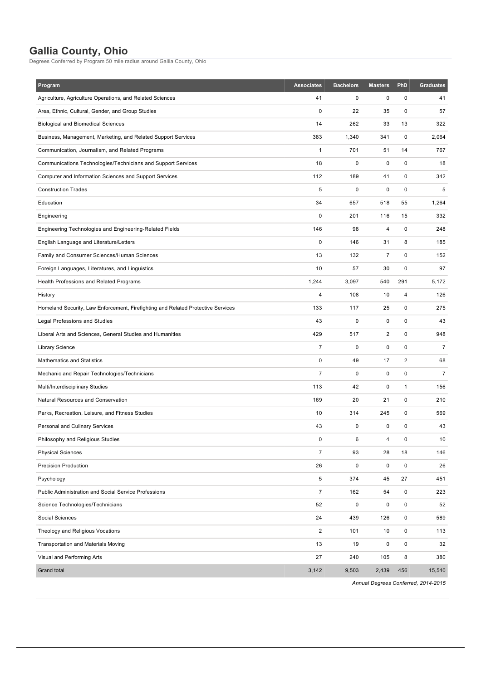## **Gallia County, Ohio**

Degrees Conferred by Program 50 mile radius around Gallia County, Ohio

| Program                                                                          | <b>Associates</b> | <b>Bachelors</b> | <b>Masters</b> | PhD          | <b>Graduates</b> |
|----------------------------------------------------------------------------------|-------------------|------------------|----------------|--------------|------------------|
| Agriculture, Agriculture Operations, and Related Sciences                        | 41                | 0                | 0              | $\mathsf 0$  | 41               |
| Area, Ethnic, Cultural, Gender, and Group Studies                                | 0                 | 22               | 35             | 0            | 57               |
| <b>Biological and Biomedical Sciences</b>                                        | 14                | 262              | 33             | 13           | 322              |
| Business, Management, Marketing, and Related Support Services                    | 383               | 1,340            | 341            | 0            | 2,064            |
| Communication, Journalism, and Related Programs                                  | $\mathbf{1}$      | 701              | 51             | 14           | 767              |
| Communications Technologies/Technicians and Support Services                     | 18                | $\mathbf 0$      | 0              | 0            | 18               |
| Computer and Information Sciences and Support Services                           | 112               | 189              | 41             | 0            | 342              |
| <b>Construction Trades</b>                                                       | 5                 | 0                | $\mathbf 0$    | $\mathsf 0$  | 5                |
| Education                                                                        | 34                | 657              | 518            | 55           | 1,264            |
| Engineering                                                                      | 0                 | 201              | 116            | 15           | 332              |
| Engineering Technologies and Engineering-Related Fields                          | 146               | 98               | $\overline{4}$ | $\mathsf 0$  | 248              |
| English Language and Literature/Letters                                          | 0                 | 146              | 31             | 8            | 185              |
| Family and Consumer Sciences/Human Sciences                                      | 13                | 132              | $\overline{7}$ | 0            | 152              |
| Foreign Languages, Literatures, and Linguistics                                  | 10                | 57               | 30             | 0            | 97               |
| Health Professions and Related Programs                                          | 1,244             | 3,097            | 540            | 291          | 5,172            |
| History                                                                          | 4                 | 108              | 10             | 4            | 126              |
| Homeland Security, Law Enforcement, Firefighting and Related Protective Services | 133               | 117              | 25             | 0            | 275              |
| Legal Professions and Studies                                                    | 43                | 0                | 0              | 0            | 43               |
| Liberal Arts and Sciences, General Studies and Humanities                        | 429               | 517              | $\overline{2}$ | $\mathsf 0$  | 948              |
| <b>Library Science</b>                                                           | $\overline{7}$    | 0                | 0              | 0            | $\overline{7}$   |
| <b>Mathematics and Statistics</b>                                                | 0                 | 49               | 17             | $\sqrt{2}$   | 68               |
| Mechanic and Repair Technologies/Technicians                                     | $\overline{7}$    | 0                | 0              | 0            | $\overline{7}$   |
| Multi/Interdisciplinary Studies                                                  | 113               | 42               | 0              | $\mathbf{1}$ | 156              |
| Natural Resources and Conservation                                               | 169               | 20               | 21             | 0            | 210              |
| Parks, Recreation, Leisure, and Fitness Studies                                  | 10                | 314              | 245            | 0            | 569              |
| Personal and Culinary Services                                                   | 43                | 0                | 0              | 0            | 43               |
| Philosophy and Religious Studies                                                 | 0                 |                  |                | 0            | 10               |
| <b>Physical Sciences</b>                                                         | $\overline{7}$    | 93               | 28             | 18           | 146              |
| <b>Precision Production</b>                                                      | 26                | 0                | $\pmb{0}$      | $\pmb{0}$    | 26               |
| Psychology                                                                       | 5                 | 374              | 45             | 27           | 451              |
| Public Administration and Social Service Professions                             | $\boldsymbol{7}$  | 162              | 54             | 0            | 223              |
| Science Technologies/Technicians                                                 | 52                | 0                | 0              | 0            | 52               |
| Social Sciences                                                                  | 24                | 439              | 126            | 0            | 589              |
| Theology and Religious Vocations                                                 | $\sqrt{2}$        | 101              | 10             | $\pmb{0}$    | 113              |
| Transportation and Materials Moving                                              | 13                | 19               | 0              | 0            | 32               |
| Visual and Performing Arts                                                       | 27                | 240              | 105            | 8            | 380              |
| Grand total                                                                      | 3,142             | 9,503            | 2,439          | 456          | 15,540           |

Annual Degrees Conferred, 2014-2015